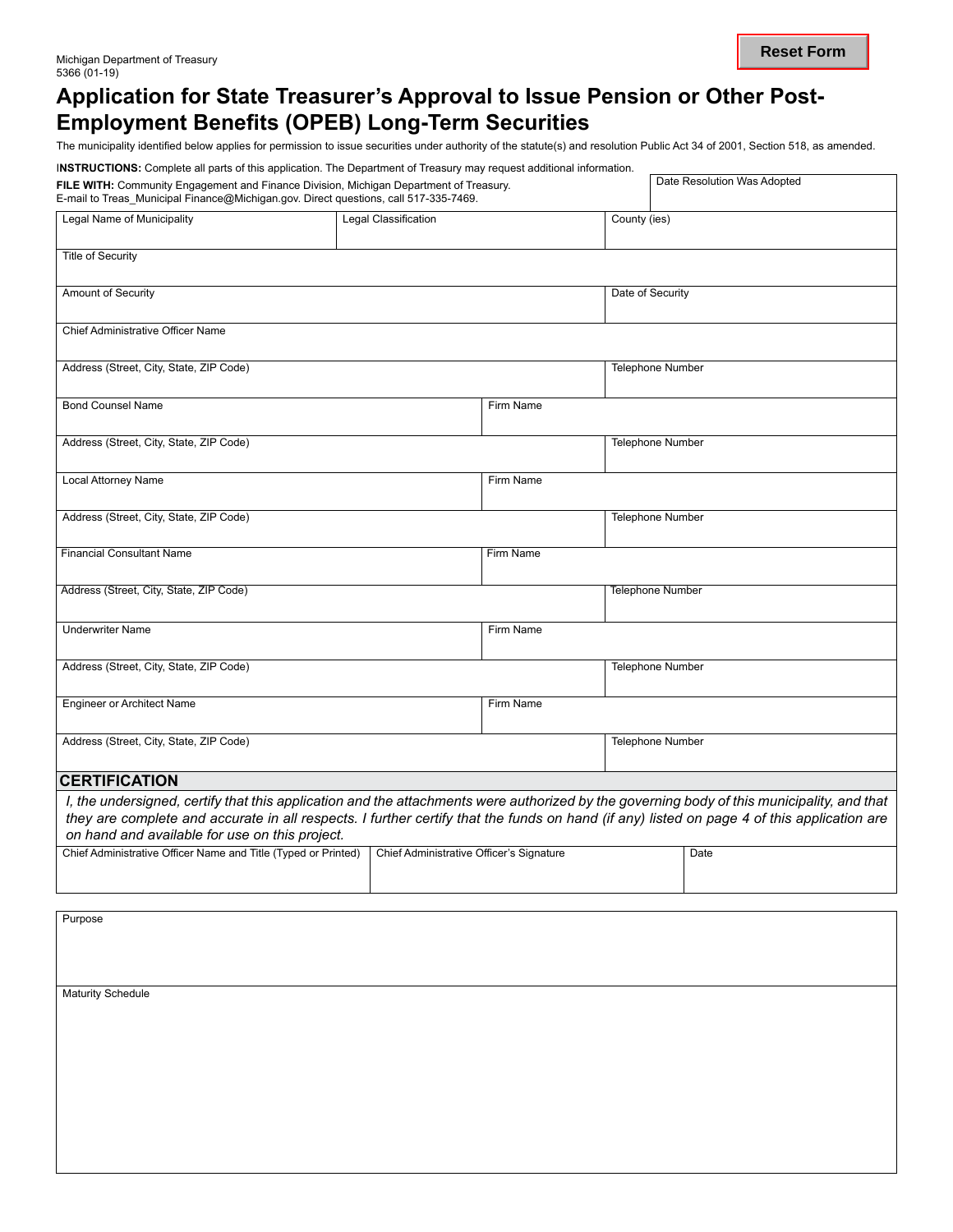## **Application for State Treasurer's Approval to Issue Pension or Other Post-Employment Benefits (OPEB) Long-Term Securities**

The municipality identified below applies for permission to issue securities under authority of the statute(s) and resolution Public Act 34 of 2001, Section 518, as amended.

| <b>INSTRUCTIONS:</b> Complete all parts of this application. The Department of Treasury may request additional information.                                                                                   |  |                  |                         |  |  |  |
|---------------------------------------------------------------------------------------------------------------------------------------------------------------------------------------------------------------|--|------------------|-------------------------|--|--|--|
| Date Resolution Was Adopted<br>FILE WITH: Community Engagement and Finance Division, Michigan Department of Treasury.<br>E-mail to Treas_Municipal Finance@Michigan.gov. Direct questions, call 517-335-7469. |  |                  |                         |  |  |  |
| Legal Name of Municipality                                                                                                                                                                                    |  | County (ies)     |                         |  |  |  |
| Title of Security                                                                                                                                                                                             |  |                  |                         |  |  |  |
| <b>Amount of Security</b>                                                                                                                                                                                     |  | Date of Security |                         |  |  |  |
| <b>Chief Administrative Officer Name</b>                                                                                                                                                                      |  |                  |                         |  |  |  |
| Address (Street, City, State, ZIP Code)                                                                                                                                                                       |  |                  | <b>Telephone Number</b> |  |  |  |
| <b>Bond Counsel Name</b>                                                                                                                                                                                      |  | Firm Name        |                         |  |  |  |

| סוווסרו וספוווסט טווטט                                                                                                                                                                                                                                                                                                                     |                                          | <u>i illii ivaliit</u> |                         |  |  |
|--------------------------------------------------------------------------------------------------------------------------------------------------------------------------------------------------------------------------------------------------------------------------------------------------------------------------------------------|------------------------------------------|------------------------|-------------------------|--|--|
| Address (Street, City, State, ZIP Code)                                                                                                                                                                                                                                                                                                    |                                          |                        | <b>Telephone Number</b> |  |  |
| Local Attorney Name                                                                                                                                                                                                                                                                                                                        |                                          | Firm Name              |                         |  |  |
| Address (Street, City, State, ZIP Code)                                                                                                                                                                                                                                                                                                    |                                          |                        | Telephone Number        |  |  |
| <b>Financial Consultant Name</b>                                                                                                                                                                                                                                                                                                           |                                          | Firm Name              |                         |  |  |
| Address (Street, City, State, ZIP Code)                                                                                                                                                                                                                                                                                                    |                                          |                        | <b>Telephone Number</b> |  |  |
| <b>Underwriter Name</b>                                                                                                                                                                                                                                                                                                                    |                                          | Firm Name              |                         |  |  |
| Address (Street, City, State, ZIP Code)                                                                                                                                                                                                                                                                                                    |                                          |                        | <b>Telephone Number</b> |  |  |
| <b>Engineer or Architect Name</b>                                                                                                                                                                                                                                                                                                          |                                          | Firm Name              |                         |  |  |
| Address (Street, City, State, ZIP Code)                                                                                                                                                                                                                                                                                                    |                                          |                        | <b>Telephone Number</b> |  |  |
| <b>CERTIFICATION</b>                                                                                                                                                                                                                                                                                                                       |                                          |                        |                         |  |  |
| I, the undersigned, certify that this application and the attachments were authorized by the governing body of this municipality, and that<br>they are complete and accurate in all respects. I further certify that the funds on hand (if any) listed on page 4 of this application are<br>on hand and available for use on this project. |                                          |                        |                         |  |  |
| Chief Administrative Officer Name and Title (Typed or Printed)                                                                                                                                                                                                                                                                             | Chief Administrative Officer's Signature |                        | Date                    |  |  |

Purpose Maturity Schedule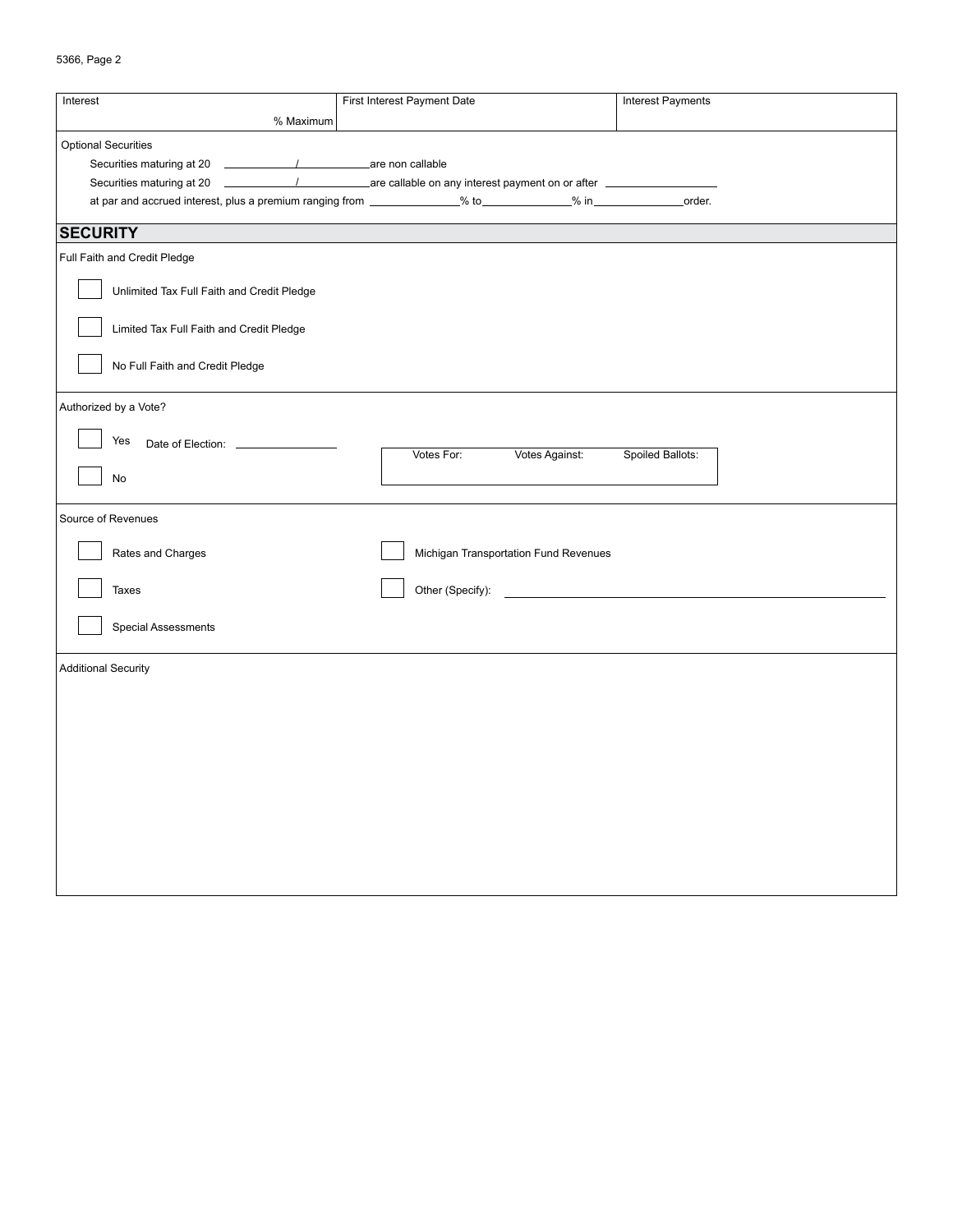|  | 5366, Page 2 |  |
|--|--------------|--|
|--|--------------|--|

| Interest<br>% Maximum                                                                                             | First Interest Payment Date<br><b>Interest Payments</b> |                  |  |  |  |
|-------------------------------------------------------------------------------------------------------------------|---------------------------------------------------------|------------------|--|--|--|
| <b>Optional Securities</b>                                                                                        |                                                         |                  |  |  |  |
| Securities maturing at 20                                                                                         |                                                         |                  |  |  |  |
|                                                                                                                   |                                                         |                  |  |  |  |
| Securities maturing at 20                                                                                         |                                                         |                  |  |  |  |
| at par and accrued interest, plus a premium ranging from _____________% to____________% in ________________order. |                                                         |                  |  |  |  |
| <b>SECURITY</b>                                                                                                   |                                                         |                  |  |  |  |
| Full Faith and Credit Pledge                                                                                      |                                                         |                  |  |  |  |
| Unlimited Tax Full Faith and Credit Pledge                                                                        |                                                         |                  |  |  |  |
| Limited Tax Full Faith and Credit Pledge                                                                          |                                                         |                  |  |  |  |
| No Full Faith and Credit Pledge                                                                                   |                                                         |                  |  |  |  |
| Authorized by a Vote?                                                                                             |                                                         |                  |  |  |  |
| Yes                                                                                                               |                                                         |                  |  |  |  |
|                                                                                                                   | Votes Against:<br>Votes For:                            | Spoiled Ballots: |  |  |  |
| No                                                                                                                |                                                         |                  |  |  |  |
|                                                                                                                   |                                                         |                  |  |  |  |
| Source of Revenues                                                                                                |                                                         |                  |  |  |  |
|                                                                                                                   |                                                         |                  |  |  |  |
| Rates and Charges                                                                                                 | Michigan Transportation Fund Revenues                   |                  |  |  |  |
| Taxes                                                                                                             | Other (Specify):                                        |                  |  |  |  |
|                                                                                                                   |                                                         |                  |  |  |  |
| <b>Special Assessments</b>                                                                                        |                                                         |                  |  |  |  |
| <b>Additional Security</b>                                                                                        |                                                         |                  |  |  |  |
|                                                                                                                   |                                                         |                  |  |  |  |
|                                                                                                                   |                                                         |                  |  |  |  |
|                                                                                                                   |                                                         |                  |  |  |  |
|                                                                                                                   |                                                         |                  |  |  |  |
|                                                                                                                   |                                                         |                  |  |  |  |
|                                                                                                                   |                                                         |                  |  |  |  |
|                                                                                                                   |                                                         |                  |  |  |  |
|                                                                                                                   |                                                         |                  |  |  |  |
|                                                                                                                   |                                                         |                  |  |  |  |
|                                                                                                                   |                                                         |                  |  |  |  |
|                                                                                                                   |                                                         |                  |  |  |  |
|                                                                                                                   |                                                         |                  |  |  |  |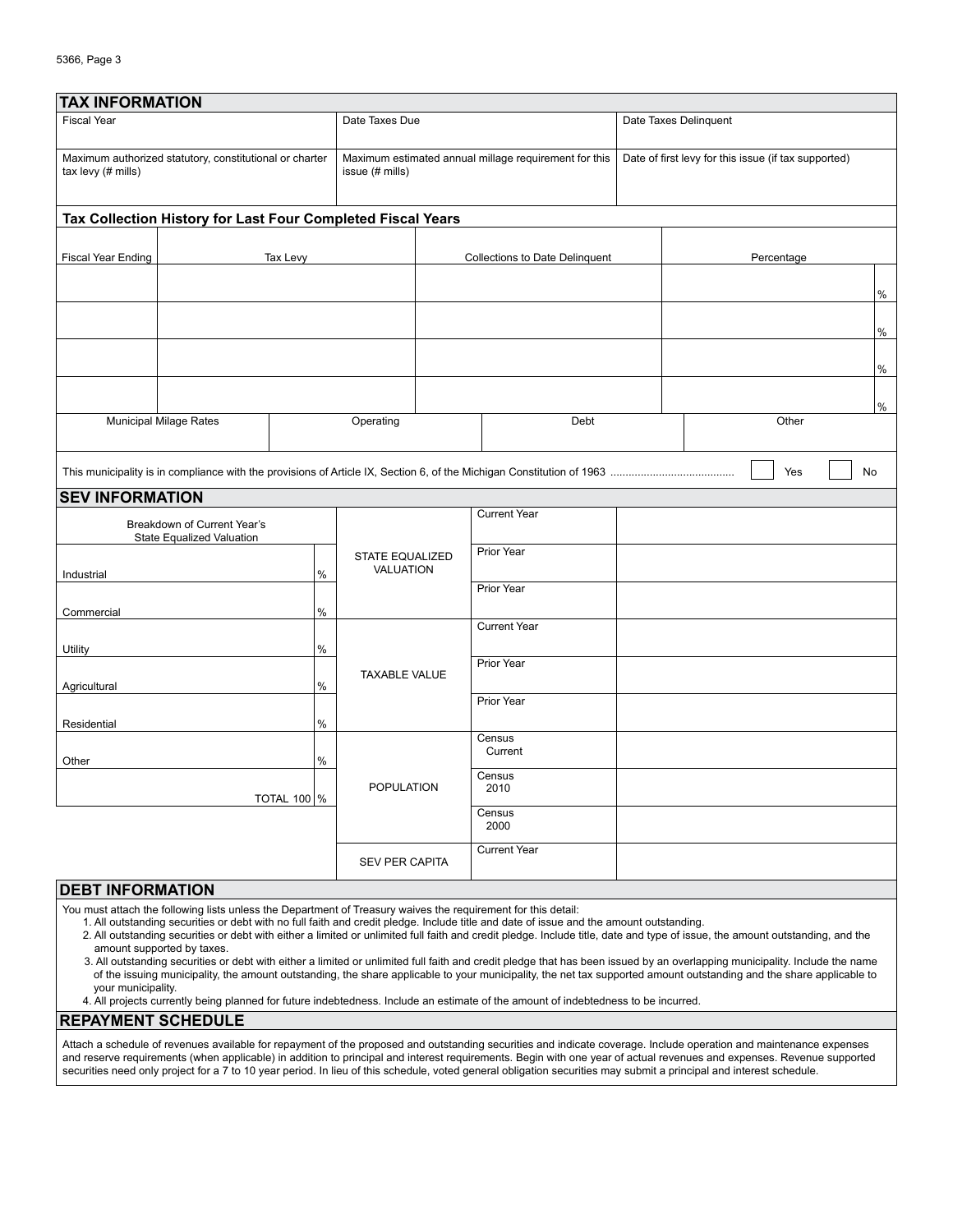| <b>TAX INFORMATION</b>                                                        |                                                             |                       |                                                             |                                |                     |                                                      |       |      |
|-------------------------------------------------------------------------------|-------------------------------------------------------------|-----------------------|-------------------------------------------------------------|--------------------------------|---------------------|------------------------------------------------------|-------|------|
| <b>Fiscal Year</b>                                                            |                                                             |                       | Date Taxes Due                                              |                                |                     | Date Taxes Delinquent                                |       |      |
| Maximum authorized statutory, constitutional or charter<br>tax levy (# mills) |                                                             | issue (# mills)       | Maximum estimated annual millage requirement for this       |                                |                     | Date of first levy for this issue (if tax supported) |       |      |
|                                                                               | Tax Collection History for Last Four Completed Fiscal Years |                       |                                                             |                                |                     |                                                      |       |      |
| <b>Fiscal Year Ending</b><br>Tax Levy                                         |                                                             |                       |                                                             | Collections to Date Delinquent |                     | Percentage                                           |       |      |
|                                                                               |                                                             |                       |                                                             |                                |                     |                                                      |       | $\%$ |
|                                                                               |                                                             |                       |                                                             |                                |                     |                                                      |       | $\%$ |
|                                                                               |                                                             |                       |                                                             |                                |                     |                                                      |       | $\%$ |
|                                                                               |                                                             |                       |                                                             |                                |                     |                                                      |       | $\%$ |
|                                                                               | <b>Municipal Milage Rates</b><br>Operating                  |                       |                                                             |                                | Debt                |                                                      | Other |      |
| Yes<br>No                                                                     |                                                             |                       |                                                             |                                |                     |                                                      |       |      |
| <b>SEV INFORMATION</b>                                                        |                                                             |                       |                                                             |                                |                     |                                                      |       |      |
| Breakdown of Current Year's<br>State Equalized Valuation                      |                                                             |                       |                                                             | <b>Current Year</b>            |                     |                                                      |       |      |
| Industrial                                                                    |                                                             | %                     | <b>STATE EQUALIZED</b><br>VALUATION<br><b>TAXABLE VALUE</b> |                                | Prior Year          |                                                      |       |      |
| Commercial                                                                    |                                                             | $\%$                  |                                                             |                                | Prior Year          |                                                      |       |      |
|                                                                               |                                                             |                       |                                                             |                                | <b>Current Year</b> |                                                      |       |      |
| Utility                                                                       |                                                             | $\%$                  |                                                             |                                | Prior Year          |                                                      |       |      |
| Agricultural                                                                  |                                                             | $\frac{0}{0}$         |                                                             |                                | Prior Year          |                                                      |       |      |
| Residential                                                                   |                                                             | $\%$                  |                                                             |                                |                     |                                                      |       |      |
| Other                                                                         |                                                             | $\frac{0}{0}$         | <b>POPULATION</b>                                           |                                | Census<br>Current   |                                                      |       |      |
|                                                                               |                                                             | <b>TOTAL 100 %</b>    |                                                             |                                | Census<br>2010      |                                                      |       |      |
|                                                                               |                                                             |                       |                                                             | Census<br>2000                 |                     |                                                      |       |      |
|                                                                               |                                                             | <b>SEV PER CAPITA</b> |                                                             | <b>Current Year</b>            |                     |                                                      |       |      |
| <b>DEBT INFORMATION</b>                                                       |                                                             |                       |                                                             |                                |                     |                                                      |       |      |

You must attach the following lists unless the Department of Treasury waives the requirement for this detail:

1. All outstanding securities or debt with no full faith and credit pledge. Include title and date of issue and the amount outstanding.

2. All outstanding securities or debt with either a limited or unlimited full faith and credit pledge. Include title, date and type of issue, the amount outstanding, and the amount supported by taxes.

3. All outstanding securities or debt with either a limited or unlimited full faith and credit pledge that has been issued by an overlapping municipality. Include the name of the issuing municipality, the amount outstanding, the share applicable to your municipality, the net tax supported amount outstanding and the share applicable to your municipality.

4. All projects currently being planned for future indebtedness. Include an estimate of the amount of indebtedness to be incurred.

**REPAYMENT SCHEDULE**

Attach a schedule of revenues available for repayment of the proposed and outstanding securities and indicate coverage. Include operation and maintenance expenses and reserve requirements (when applicable) in addition to principal and interest requirements. Begin with one year of actual revenues and expenses. Revenue supported securities need only project for a 7 to 10 year period. In lieu of this schedule, voted general obligation securities may submit a principal and interest schedule.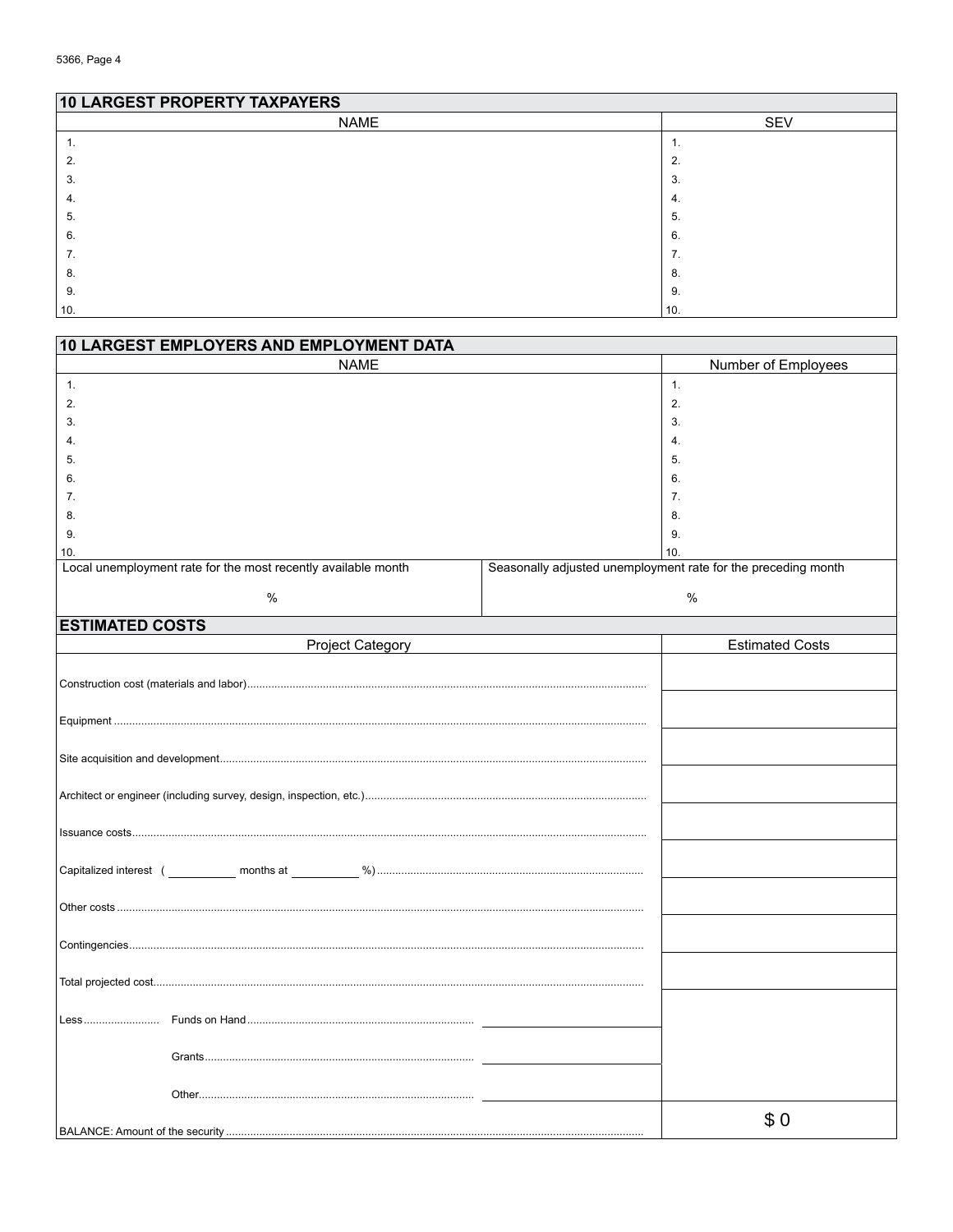## **10 LARGEST PROPERTY TAXPAYERS**  $NAME$  $\overline{\text{SEV}}$  $\mathbf{1}$ .  $\overline{1}$ .  $2.$  $2.$  $3.$  $3.$  $\overline{4}$ .  $\overline{4}$ .  $5.$  $5.$  $6.$  $6.$  $\overline{7}$ .  $\overline{7}$ .  $8.$ 8. 9. 9.  $10.$  $10.$

| 10 LARGEST EMPLOYERS AND EMPLOYMENT DATA                      |                                                               |  |  |  |  |
|---------------------------------------------------------------|---------------------------------------------------------------|--|--|--|--|
| <b>NAME</b>                                                   | Number of Employees                                           |  |  |  |  |
| 1.                                                            | 1.                                                            |  |  |  |  |
| 2.                                                            | 2.                                                            |  |  |  |  |
| 3.                                                            | 3.                                                            |  |  |  |  |
| $\overline{4}$ .                                              | 4.                                                            |  |  |  |  |
| 5.                                                            | 5.                                                            |  |  |  |  |
| 6.                                                            | 6.                                                            |  |  |  |  |
| 7.                                                            | 7.                                                            |  |  |  |  |
| 8.                                                            | 8.                                                            |  |  |  |  |
| 9.                                                            | 9.                                                            |  |  |  |  |
| 10.                                                           | 10.                                                           |  |  |  |  |
| Local unemployment rate for the most recently available month | Seasonally adjusted unemployment rate for the preceding month |  |  |  |  |
| $\%$                                                          | $\%$                                                          |  |  |  |  |
| <b>ESTIMATED COSTS</b>                                        |                                                               |  |  |  |  |
| <b>Project Category</b>                                       | <b>Estimated Costs</b>                                        |  |  |  |  |
|                                                               |                                                               |  |  |  |  |
|                                                               |                                                               |  |  |  |  |
|                                                               |                                                               |  |  |  |  |
|                                                               |                                                               |  |  |  |  |
|                                                               |                                                               |  |  |  |  |
|                                                               |                                                               |  |  |  |  |
|                                                               |                                                               |  |  |  |  |
|                                                               |                                                               |  |  |  |  |
|                                                               |                                                               |  |  |  |  |
|                                                               |                                                               |  |  |  |  |
|                                                               |                                                               |  |  |  |  |
|                                                               |                                                               |  |  |  |  |
|                                                               |                                                               |  |  |  |  |
|                                                               |                                                               |  |  |  |  |
|                                                               |                                                               |  |  |  |  |
|                                                               |                                                               |  |  |  |  |
|                                                               |                                                               |  |  |  |  |
|                                                               |                                                               |  |  |  |  |
|                                                               |                                                               |  |  |  |  |
|                                                               |                                                               |  |  |  |  |
|                                                               |                                                               |  |  |  |  |
|                                                               |                                                               |  |  |  |  |
|                                                               |                                                               |  |  |  |  |
|                                                               |                                                               |  |  |  |  |
|                                                               | \$0                                                           |  |  |  |  |
|                                                               |                                                               |  |  |  |  |